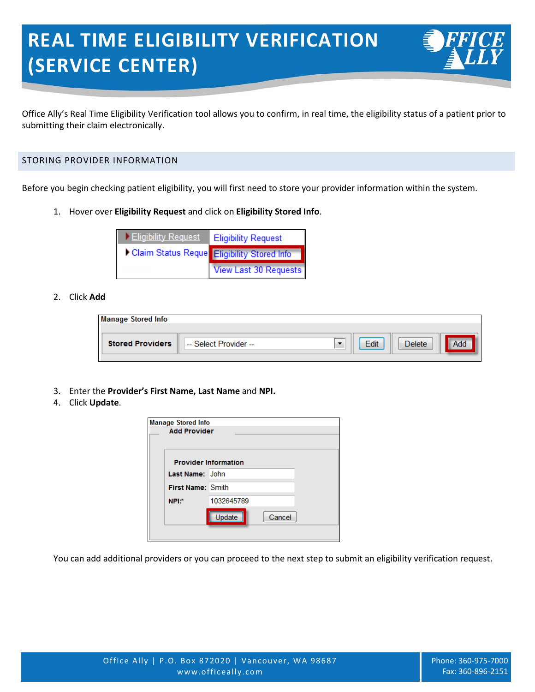# **REAL TIME ELIGIBILITY VERIFICATION (SERVICE CENTER)**

Office Ally's Real Time Eligibility Verification tool allows you to confirm, in real time, the eligibility status of a patient prior to submitting their claim electronically.

## STORING PROVIDER INFORMATION

Before you begin checking patient eligibility, you will first need to store your provider information within the system.

1. Hover over **Eligibility Request** and click on **Eligibility Stored Info**.



#### 2. Click **Add**

| <b>Manage Stored Info</b> |                       |      |               |  |
|---------------------------|-----------------------|------|---------------|--|
|                           |                       |      |               |  |
| <b>Stored Providers</b>   | -- Select Provider -- | Edit | <b>Delete</b> |  |
|                           |                       |      |               |  |

- 3. Enter the **Provider's First Name, Last Name** and **NPI.**
- 4. Click **Update**.

| <b>Manage Stored Info</b> |                             |        |  |
|---------------------------|-----------------------------|--------|--|
| <b>Add Provider</b>       |                             |        |  |
|                           |                             |        |  |
|                           | <b>Provider Information</b> |        |  |
| Last Name: John           |                             |        |  |
| <b>First Name: Smith</b>  |                             |        |  |
| NPI:*                     | 1032645789                  |        |  |
|                           | Update                      | Cancel |  |
|                           |                             |        |  |

You can add additional providers or you can proceed to the next step to submit an eligibility verification request.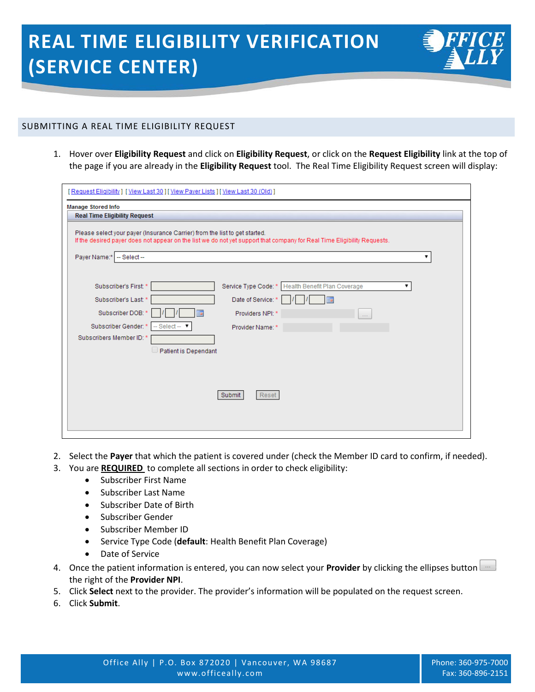

1. Hover over **Eligibility Request** and click on **Eligibility Request**, or click on the **Request Eligibility** link at the top of the page if you are already in the **Eligibility Request** tool. The Real Time Eligibility Request screen will display:

| [Request Eligibility] [View Last 30] [View Payer Lists ] [View Last 30 (Old)]                                                                                                                                                                                                                           |
|---------------------------------------------------------------------------------------------------------------------------------------------------------------------------------------------------------------------------------------------------------------------------------------------------------|
| <b>Manage Stored Info</b><br><b>Real Time Eligibility Request</b>                                                                                                                                                                                                                                       |
| Please select your payer (Insurance Carrier) from the list to get started.<br>If the desired payer does not appear on the list we do not yet support that company for Real Time Eligibility Requests.<br>Payer Name:*<br>$-$ Select $-$                                                                 |
| Subscriber's First: *<br>Service Type Code: *<br>Health Benefit Plan Coverage<br>Date of Service:<br>Subscriber's Last: *<br>Subscriber DOB: *<br>Providers NPI: *<br>Subscriber Gender: *<br>- Select-<br>Provider Name: *<br>Subscribers Member ID:<br><b>Patient is Dependant</b><br>Submit<br>Reset |

- 2. Select the **Payer** that which the patient is covered under (check the Member ID card to confirm, if needed).
- 3. You are **REQUIRED** to complete all sections in order to check eligibility:
	- Subscriber First Name
	- Subscriber Last Name
	- Subscriber Date of Birth
	- Subscriber Gender
	- Subscriber Member ID
	- Service Type Code (**default**: Health Benefit Plan Coverage)
	- Date of Service
- 4. Once the patient information is entered, you can now select your **Provider** by clicking the ellipses button the right of the **Provider NPI**.
- 5. Click **Select** next to the provider. The provider's information will be populated on the request screen.
- 6. Click **Submit**.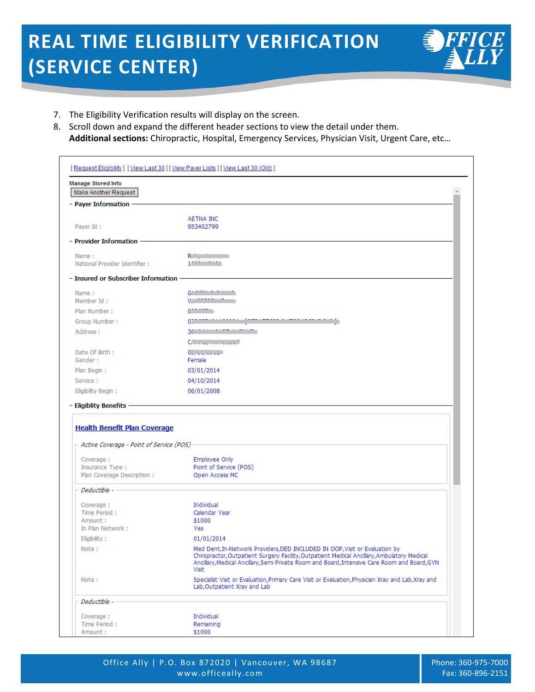## **REAL TIME ELIGIBILITY VERIFICATION (SERVICE CENTER)**



- 7. The Eligibility Verification results will display on the screen.
- 8. Scroll down and expand the different header sections to view the detail under them. **Additional sections:** Chiropractic, Hospital, Emergency Services, Physician Visit, Urgent Care, etc…

| Manage Stored Info                                                                                       |                                                                                                                                                                                                                                                                                             |
|----------------------------------------------------------------------------------------------------------|---------------------------------------------------------------------------------------------------------------------------------------------------------------------------------------------------------------------------------------------------------------------------------------------|
| Make Another Request                                                                                     |                                                                                                                                                                                                                                                                                             |
| - Payer Information -                                                                                    |                                                                                                                                                                                                                                                                                             |
| Payor Id:                                                                                                | AETNA INC<br>953402799                                                                                                                                                                                                                                                                      |
| - Provider Information -                                                                                 |                                                                                                                                                                                                                                                                                             |
| Name:<br>National Provider Identifier :                                                                  | $R^{\rm eff}$ , $\sim$ 100 $\pm$<br>1000                                                                                                                                                                                                                                                    |
| - Insured or Subscriber Information -                                                                    |                                                                                                                                                                                                                                                                                             |
| Name:<br>Member Id:                                                                                      | $G'$ = = $G'$ = $G''$ = $G''$<br>Wasserson a                                                                                                                                                                                                                                                |
| Plan Number:                                                                                             | 0.122222                                                                                                                                                                                                                                                                                    |
| Group Number:                                                                                            | 0300000000000000                                                                                                                                                                                                                                                                            |
| Address:                                                                                                 | 30 12:11:12:22 11:23:22                                                                                                                                                                                                                                                                     |
|                                                                                                          | C/2004, 1111-1112                                                                                                                                                                                                                                                                           |
| Date Of Birth:<br>Gender:                                                                                | 01, 11, 11, 11, 11<br>Female                                                                                                                                                                                                                                                                |
| Plan Begin:                                                                                              | 03/01/2014                                                                                                                                                                                                                                                                                  |
| Service:                                                                                                 | 04/10/2014                                                                                                                                                                                                                                                                                  |
| Eligibility Begin:                                                                                       | 06/01/2008                                                                                                                                                                                                                                                                                  |
|                                                                                                          |                                                                                                                                                                                                                                                                                             |
| <b>Health Benefit Plan Coverage</b><br>$\overline{\phantom{a}}$ Active Coverage - Point of Service (POS) |                                                                                                                                                                                                                                                                                             |
| Coverage :                                                                                               | Employee Only                                                                                                                                                                                                                                                                               |
| Insurance Type :                                                                                         | Point of Service (POS)                                                                                                                                                                                                                                                                      |
| Plan Coverage Description:                                                                               | Open Access MC                                                                                                                                                                                                                                                                              |
| Deductible -                                                                                             |                                                                                                                                                                                                                                                                                             |
| Coverage:                                                                                                | Individual                                                                                                                                                                                                                                                                                  |
| Time Period:<br>Amount:                                                                                  | Calendar Year<br>\$1000                                                                                                                                                                                                                                                                     |
| In Plan Network:                                                                                         | Yes                                                                                                                                                                                                                                                                                         |
| Eligibility:                                                                                             | 01/01/2014                                                                                                                                                                                                                                                                                  |
| Note:                                                                                                    | Med Dent, In-Network Providers, DED INCLUDED IN OOP, Visit or Evaluation by<br>Chiropractor, Outpatient Surgery Facility, Outpatient Medical Ancillary, Ambulatory Medical<br>Ancillary, Medical Ancillary, Semi Private Room and Board, Intensive Care Room and Board, GYN<br><b>Visit</b> |
| Note:                                                                                                    | Specialist Visit or Evaluation, Primary Care Visit or Evaluation, Physician Xray and Lab, Xray and<br>Lab, Outpatient Xray and Lab                                                                                                                                                          |
| Deductible -                                                                                             |                                                                                                                                                                                                                                                                                             |
|                                                                                                          |                                                                                                                                                                                                                                                                                             |
| Coverage :<br>Time Period:                                                                               | Individual<br>Remaining                                                                                                                                                                                                                                                                     |